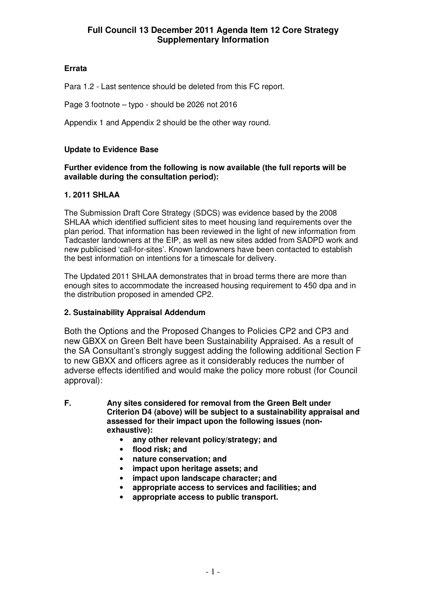### **Errata**

Para 1.2 - Last sentence should be deleted from this FC report.

Page 3 footnote – typo - should be 2026 not 2016

Appendix 1 and Appendix 2 should be the other way round.

# **Update to Evidence Base**

#### **Further evidence from the following is now available (the full reports will be available during the consultation period):**

# **1. 2011 SHLAA**

The Submission Draft Core Strategy (SDCS) was evidence based by the 2008 SHLAA which identified sufficient sites to meet housing land requirements over the plan period. That information has been reviewed in the light of new information from Tadcaster landowners at the EIP, as well as new sites added from SADPD work and new publicised 'call-for-sites'. Known landowners have been contacted to establish the best information on intentions for a timescale for delivery.

The Updated 2011 SHLAA demonstrates that in broad terms there are more than enough sites to accommodate the increased housing requirement to 450 dpa and in the distribution proposed in amended CP2.

# **2. Sustainability Appraisal Addendum**

Both the Options and the Proposed Changes to Policies CP2 and CP3 and new GBXX on Green Belt have been Sustainability Appraised. As a result of the SA Consultant's strongly suggest adding the following additional Section F to new GBXX and officers agree as it considerably reduces the number of adverse effects identified and would make the policy more robust (for Council approval):

**F. Any sites considered for removal from the Green Belt under Criterion D4 (above) will be subject to a sustainability appraisal and assessed for their impact upon the following issues (nonexhaustive):**

- **any other relevant policy/strategy; and**
- **flood risk; and**
- **nature conservation; and**
- **impact upon heritage assets; and**
- **impact upon landscape character; and**
- **appropriate access to services and facilities; and**
- **appropriate access to public transport.**